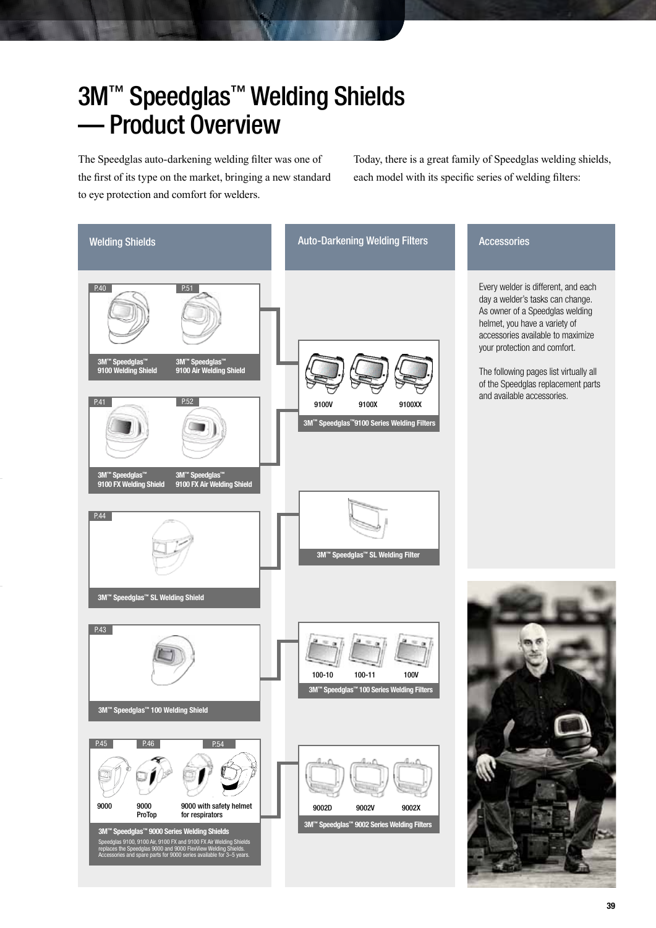### 3M<sup>™</sup> Speedglas<sup>™</sup> Welding Shields — Product Overview

The Speedglas auto-darkening welding filter was one of the first of its type on the market, bringing a new standard to eye protection and comfort for welders.

Today, there is a great family of Speedglas welding shields, each model with its specific series of welding filters:

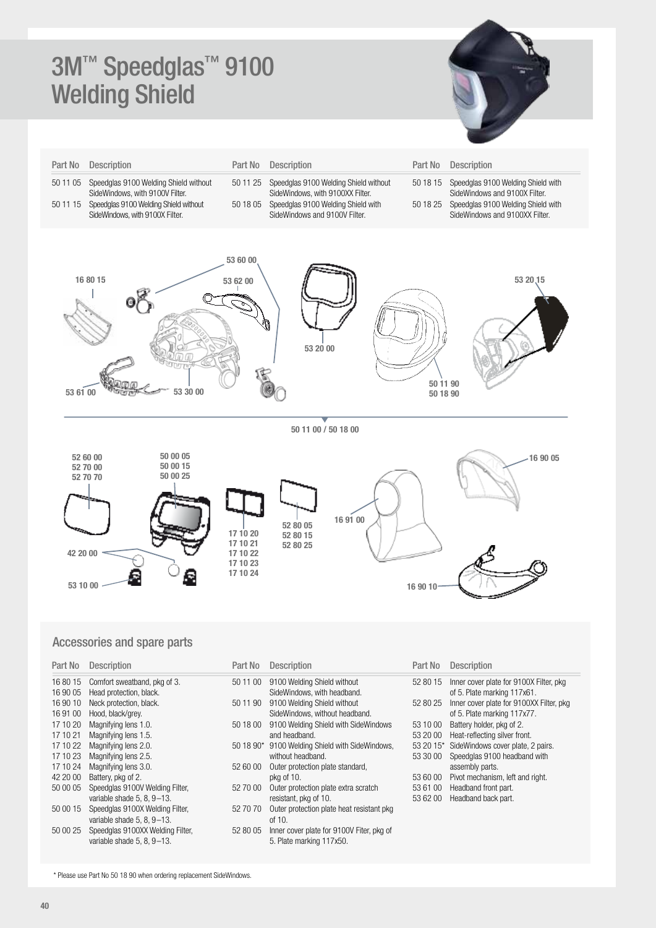## 3M™ Speedglas<sup>™</sup> 9100 Welding Shield



| Part No              | Description                                                              | Part No                                                  | Description                                                               | Part No              | Description                                                          |
|----------------------|--------------------------------------------------------------------------|----------------------------------------------------------|---------------------------------------------------------------------------|----------------------|----------------------------------------------------------------------|
| 50 11 05             | Speedglas 9100 Welding Shield without<br>SideWindows, with 9100V Filter. | 50 11 25                                                 | Speedglas 9100 Welding Shield without<br>SideWindows, with 9100XX Filter. | 50 18 15             | Speedglas 9100 Welding Shield with<br>SideWindows and 9100X Filter.  |
| 50 11 15             | Speedglas 9100 Welding Shield without<br>SideWindows, with 9100X Filter. | 50 18 05                                                 | Speedglas 9100 Welding Shield with<br>SideWindows and 9100V Filter.       | 50 18 25             | Speedglas 9100 Welding Shield with<br>SideWindows and 9100XX Filter. |
| 53 61 00             | 16 80 15<br>53 30 00                                                     | 53 60 00<br>53 62 00                                     | 53 20 00                                                                  | 50 11 90<br>50 18 90 | 53 20 15                                                             |
|                      |                                                                          |                                                          | 50 11 00 / 50 18 00                                                       |                      |                                                                      |
| 42 20 00<br>53 10 00 | 50 00 05<br>52 60 00<br>50 00 15<br>52 70 00<br>50 00 25<br>52 70 70     | 17 10 20<br>17 10 21<br>17 10 22<br>17 10 23<br>17 10 24 | 16 91 00<br>52 80 05<br>52 80 15<br>52 80 25                              | 16 90 10             | 16 90 05                                                             |

#### Accessories and spare parts

| Part No              | <b>Description</b>                                             | Part No   | Descr                      |
|----------------------|----------------------------------------------------------------|-----------|----------------------------|
| 16 80 15<br>16 90 05 | Comfort sweatband, pkg of 3.<br>Head protection, black.        | 50 11 00  | 9100 <sub>l</sub><br>SideW |
| 16 90 10<br>16 91 00 | Neck protection, black.<br>Hood, black/grey.                   | 50 11 90  | 9100<br>SideW              |
| 17 10 20<br>17 10 21 | Magnifying lens 1.0.<br>Magnifying lens 1.5.                   | 50 18 00  | 9100<br>and he             |
| 17 10 22<br>17 10 23 | Magnifying lens 2.0.<br>Magnifying lens 2.5.                   | 50 18 90* | 9100<br>withou             |
| 17 10 24<br>42 20 00 | Magnifying lens 3.0.<br>Battery, pkg of 2.                     | 52 60 00  | Outer p<br>pkg of          |
| 50 00 05             | Speedglas 9100V Welding Filter,<br>variable shade 5, 8, 9-13.  | 52 70 00  | Outer I<br>resista         |
| 50 00 15             | Speedglas 9100X Welding Filter,<br>variable shade 5, 8, 9-13.  | 52 70 70  | Outer p<br>of 10.          |
| 50 00 25             | Speedglas 9100XX Welding Filter,<br>variable shade 5, 8, 9-13. | 52 80 05  | Inner c<br>5. Plate        |
|                      |                                                                |           |                            |

| Part No   | Description                                                           |
|-----------|-----------------------------------------------------------------------|
| 50 11 00  | 9100 Welding Shield without<br>SideWindows, with headband.            |
| 50 11 90  | 9100 Welding Shield without<br>SideWindows, without headband.         |
| 50 18 00  | 9100 Welding Shield with SideWindows<br>and headhand.                 |
| 50 18 90* | 9100 Welding Shield with SideWindows,<br>without headband.            |
| 52 60 00  | Outer protection plate standard,<br>pkg of 10.                        |
| 52 70 00  | Outer protection plate extra scratch<br>resistant, pkg of 10.         |
| 52 70 70  | Outer protection plate heat resistant pkg<br>of $10$ .                |
| 52 80 05  | Inner cover plate for 9100V Fiter, pkg of<br>5. Plate marking 117x50. |

#### Part No Description

| 52 80 15 Inner cover plate for 9100X Filter, pkg |
|--------------------------------------------------|
| of 5. Plate marking 117x61.                      |

- 52 80 25 Inner cover plate for 9100XX Filter, pkg
	- of 5. Plate marking 117x77.
- 53 10 00 Battery holder, pkg of 2.
- 53 20 00 Heat-reflecting silver front.
- 53 20 15\* SideWindows cover plate, 2 pairs.
- 53 30 00 Speedglas 9100 headband with assembly parts.
- 53 60 00 Pivot mechanism, left and right.
- 53 61 00 Headband front part.
- 53 62 00 Headband back part.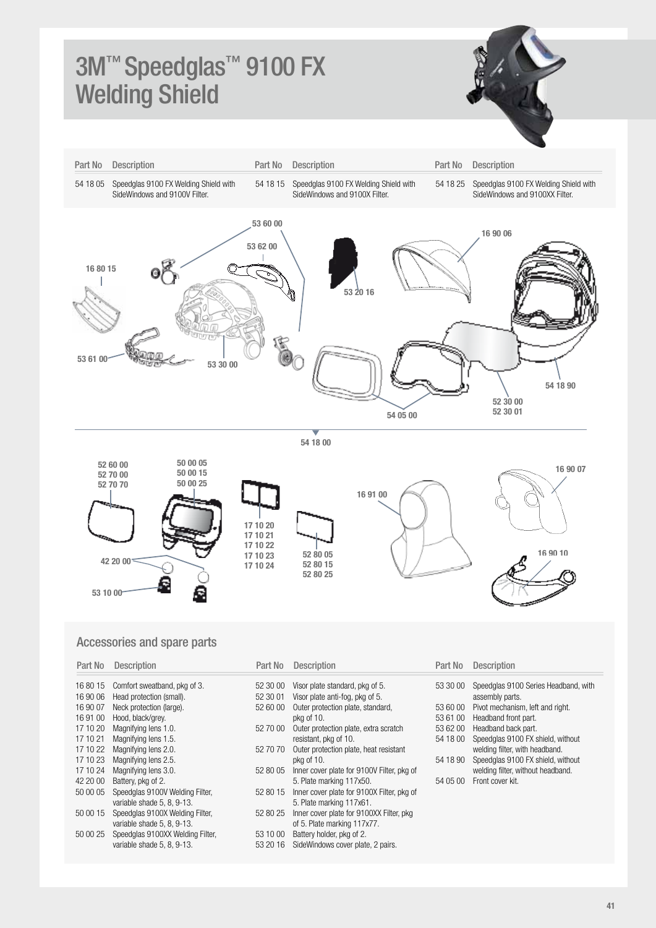## 3M™ Speedglas<sup>™</sup> 9100 FX Welding Shield





#### Accessories and spare parts

| Part No  | <b>Description</b>               | Part No  | <b>Description</b>                         | Part No  | <b>Description</b>                   |
|----------|----------------------------------|----------|--------------------------------------------|----------|--------------------------------------|
| 16 80 15 | Comfort sweatband, pkg of 3.     | 52 30 00 | Visor plate standard, pkg of 5.            | 53 30 00 | Speedglas 9100 Series Headband, with |
| 16 90 06 | Head protection (small).         | 52 30 01 | Visor plate anti-fog, pkg of 5.            |          | assembly parts.                      |
| 16 90 07 | Neck protection (large).         | 52 60 00 | Outer protection plate, standard,          | 53 60 00 | Pivot mechanism, left and right.     |
| 16 91 00 | Hood, black/grey.                |          | pkg of 10.                                 | 53 61 00 | Headband front part.                 |
| 17 10 20 | Magnifying lens 1.0.             | 52 70 00 | Outer protection plate, extra scratch      | 53 62 00 | Headband back part.                  |
| 17 10 21 | Magnifying lens 1.5.             |          | resistant, pkg of 10.                      | 54 18 00 | Speedglas 9100 FX shield, without    |
| 17 10 22 | Magnifying lens 2.0.             | 52 70 70 | Outer protection plate, heat resistant     |          | welding filter, with headband.       |
| 17 10 23 | Magnifying lens 2.5.             |          | pkg of 10.                                 | 54 18 90 | Speedglas 9100 FX shield, without    |
| 17 10 24 | Magnifying lens 3.0.             | 52 80 05 | Inner cover plate for 9100V Filter, pkg of |          | welding filter, without headband.    |
| 42 20 00 | Battery, pkg of 2.               |          | 5. Plate marking 117x50.                   | 54 05 00 | Front cover kit.                     |
| 50 00 05 | Speedglas 9100V Welding Filter,  | 52 80 15 | Inner cover plate for 9100X Filter, pkg of |          |                                      |
|          | variable shade 5, 8, 9-13.       |          | 5. Plate marking 117x61.                   |          |                                      |
| 50 00 15 | Speedglas 9100X Welding Filter,  | 52 80 25 | Inner cover plate for 9100XX Filter, pkg   |          |                                      |
|          | variable shade 5, 8, 9-13.       |          | of 5. Plate marking 117x77.                |          |                                      |
| 50 00 25 | Speedglas 9100XX Welding Filter, | 53 10 00 | Battery holder, pkg of 2.                  |          |                                      |
|          | variable shade 5, 8, 9-13.       | 53 20 16 | SideWindows cover plate, 2 pairs.          |          |                                      |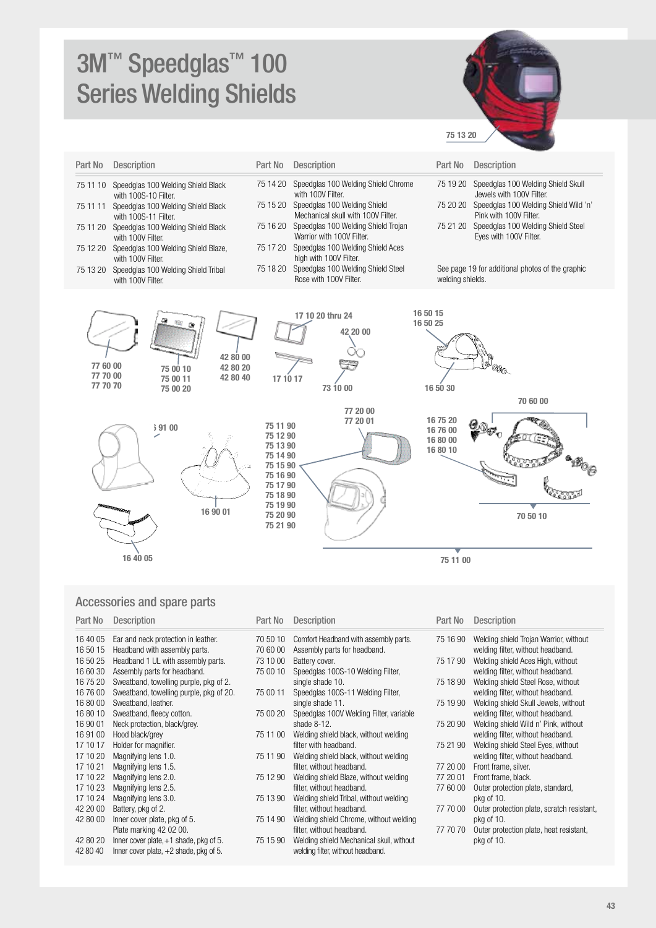# 3M™ Speedglas<sup>™</sup> 100 Series Welding Shields



| Part No  | <b>Description</b>                                         | Part No  | <b>Description</b>                                                 | Part No          | <b>Description</b>                                              |
|----------|------------------------------------------------------------|----------|--------------------------------------------------------------------|------------------|-----------------------------------------------------------------|
| 75 11 10 | Speedglas 100 Welding Shield Black<br>with 100S-10 Filter. | 75 14 20 | Speedglas 100 Welding Shield Chrome<br>with 100V Filter.           | 75 19 20         | Speedglas 100 Welding Shield Skull<br>Jewels with 100V Filter.  |
| 75 11 11 | Speedglas 100 Welding Shield Black<br>with 100S-11 Filter. | 75 15 20 | Speedglas 100 Welding Shield<br>Mechanical skull with 100V Filter. | 75 20 20         | Speedglas 100 Welding Shield Wild 'n'<br>Pink with 100V Filter. |
| 75 11 20 | Speedglas 100 Welding Shield Black<br>with 100V Filter.    | 75 16 20 | Speedglas 100 Welding Shield Trojan<br>Warrior with 100V Filter.   | 75 21 20         | Speedglas 100 Welding Shield Steel<br>Eves with 100V Filter.    |
| 75 12 20 | Speedglas 100 Welding Shield Blaze,<br>with 100V Filter.   | 75 17 20 | Speedglas 100 Welding Shield Aces<br>high with 100V Filter.        |                  |                                                                 |
| 75 13 20 | Speedglas 100 Welding Shield Tribal<br>with 100V Filter.   | 75 18 20 | Speedglas 100 Welding Shield Steel<br>Rose with 100V Filter.       | welding shields. | See page 19 for additional photos of the graphic                |
|          |                                                            |          | 17 10 20 thru 24                                                   | 16 50 15         |                                                                 |



#### Accessories and spare parts

| Part No  | <b>Description</b>                       | Part No  | <b>Description</b>                       | Part No  | <b>Description</b> |
|----------|------------------------------------------|----------|------------------------------------------|----------|--------------------|
| 16 40 05 | Ear and neck protection in leather.      | 70 50 10 | Comfort Headband with assembly parts.    | 75 16 90 | Welding shiel      |
| 16 50 15 | Headband with assembly parts.            | 70 60 00 | Assembly parts for headband.             |          | welding filter,    |
| 16 50 25 | Headband 1 UL with assembly parts.       | 73 10 00 | Battery cover.                           | 75 17 90 | Welding shiel      |
| 16 60 30 | Assembly parts for headband.             | 75 00 10 | Speedglas 100S-10 Welding Filter,        |          | welding filter,    |
| 16 75 20 | Sweatband, towelling purple, pkg of 2.   |          | single shade 10.                         | 75 18 90 | Welding shiel      |
| 167600   | Sweatband, towelling purple, pkg of 20.  | 75 00 11 | Speedglas 100S-11 Welding Filter,        |          | welding filter,    |
| 16 80 00 | Sweatband, leather.                      |          | single shade 11.                         | 75 19 90 | Welding shiel      |
| 16 80 10 | Sweatband, fleecy cotton.                | 75 00 20 | Speedglas 100V Welding Filter, variable  |          | welding filter,    |
| 16 90 01 | Neck protection, black/grey.             |          | shade $8-12$ .                           | 75 20 90 | Welding shiel      |
| 16 91 00 | Hood black/grey                          | 75 11 00 | Welding shield black, without welding    |          | welding filter,    |
| 17 10 17 | Holder for magnifier.                    |          | filter with headband.                    | 75 21 90 | Welding shiel      |
| 17 10 20 | Magnifying lens 1.0.                     | 75 11 90 | Welding shield black, without welding    |          | welding filter,    |
| 17 10 21 | Magnifying lens 1.5.                     |          | filter, without headband.                | 77 20 00 | Front frame, s     |
| 17 10 22 | Magnifying lens 2.0.                     | 75 12 90 | Welding shield Blaze, without welding    | 77 20 01 | Front frame, b     |
| 17 10 23 | Magnifying lens 2.5.                     |          | filter, without headband.                | 77 60 00 | Outer protecti     |
| 17 10 24 | Magnifying lens 3.0.                     | 75 13 90 | Welding shield Tribal, without welding   |          | pkg of 10.         |
| 42 20 00 | Battery, pkg of 2.                       |          | filter, without headband.                | 77 70 00 | Outer protecti     |
| 42 80 00 | Inner cover plate, pkg of 5.             | 75 14 90 | Welding shield Chrome, without welding   |          | pkg of 10.         |
|          | Plate marking 42 02 00.                  |          | filter, without headband.                | 77 70 70 | Outer protecti     |
| 42 80 20 | Inner cover plate, $+1$ shade, pkg of 5. | 75 15 90 | Welding shield Mechanical skull, without |          | pkg of 10.         |
| 42 80 40 | Inner cover plate, $+2$ shade, pkg of 5. |          | welding filter, without headband.        |          |                    |

| Part No  | Description                                                                 |
|----------|-----------------------------------------------------------------------------|
| 75 16 90 | Welding shield Trojan Warrior, without<br>welding filter, without headband. |
| 75 17 90 | Welding shield Aces High, without<br>welding filter, without headband.      |
| 75 18 90 | Welding shield Steel Rose, without<br>welding filter, without headband.     |
| 75 19 90 | Welding shield Skull Jewels, without<br>welding filter, without headband.   |
| 75 20 90 | Welding shield Wild n' Pink, without<br>welding filter, without headband.   |
| 75 21 90 | Welding shield Steel Eyes, without<br>welding filter, without headband.     |
| 77 20 00 | Front frame, silver.                                                        |
| 77 20 01 | Front frame, black.                                                         |
| 77 60 00 | Outer protection plate, standard,<br>pkg of 10.                             |
| 77 70 00 | Outer protection plate, scratch resistant,<br>pkg of 10.                    |
| 77 70 70 | Outer protection plate, heat resistant,<br>pkg of 10.                       |
|          |                                                                             |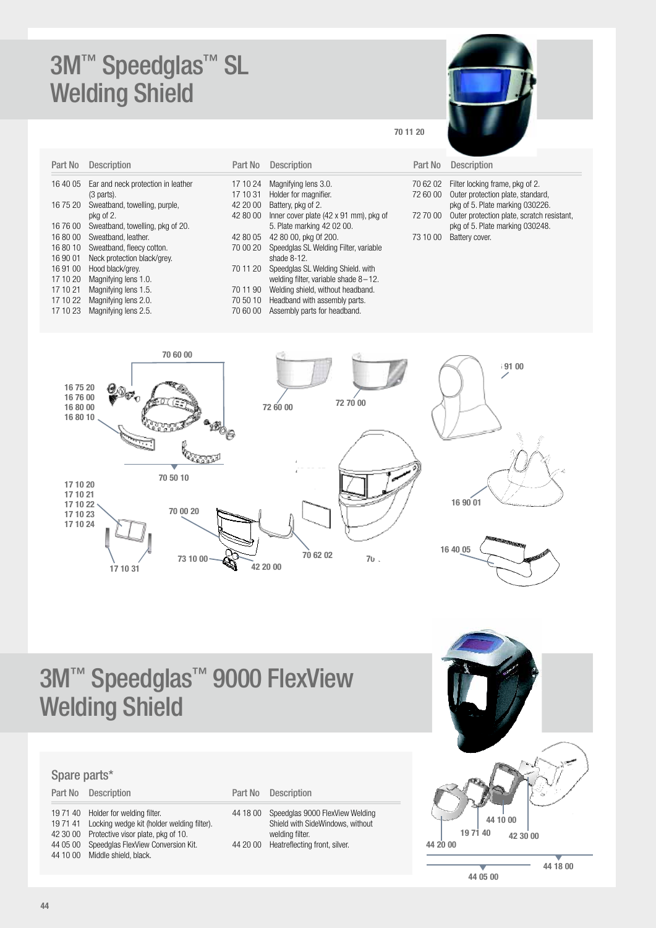### 3M™ Speedglas<sup>™</sup> SL Welding Shield

| Part No  | <b>Description</b>                 | P |
|----------|------------------------------------|---|
| 16 40 05 | Ear and neck protection in leather | 1 |
|          | (3 parts).                         | 1 |
| 16 75 20 | Sweatband, towelling, purple,      | 4 |
|          | pkg of 2.                          | 4 |
| 16 76 00 | Sweatband, towelling, pkg of 20.   |   |
| 168000   | Sweatband, leather.                | 4 |
| 16 80 10 | Sweatband, fleecy cotton.          | 7 |
| 16 90 01 | Neck protection black/grey.        |   |
| 16 91 00 | Hood black/grey.                   | 7 |
| 17 10 20 | Magnifying lens 1.0.               |   |
| 17 10 21 | Magnifying lens 1.5.               | 7 |
| 17 10 22 | Magnifying lens 2.0.               | 7 |
| 17 10 23 | Magnifying lens 2.5.               | 7 |
|          |                                    |   |

| Part No  | <b>Description</b>                      | Part No  | Description          |
|----------|-----------------------------------------|----------|----------------------|
| 17 10 24 | Magnifying lens 3.0.                    | 70 62 02 | Filter locking       |
| 17 10 31 | Holder for magnifier.                   | 72 60 00 | Outer protect        |
| 42 20 00 | Battery, pkg of 2.                      |          | pkg of 5. Plat       |
| 42 80 00 | Inner cover plate (42 x 91 mm), pkg of  | 72 70 00 | Outer protect        |
|          | 5. Plate marking 42 02 00.              |          | pkg of 5. Plat       |
| 42 80 05 | 42 80 00, pkg 0f 200.                   | 73 10 00 | <b>Battery cover</b> |
| 70 00 20 | Speedglas SL Welding Filter, variable   |          |                      |
|          | shade $8-12$ .                          |          |                      |
| 70 11 20 | Speedglas SL Welding Shield, with       |          |                      |
|          | welding filter, variable shade $8-12$ . |          |                      |
| 70 11 90 | Welding shield, without headband.       |          |                      |
| 70 50 10 | Headband with assembly parts.           |          |                      |

70 60 00 Assembly parts for headband.

### 70 11 20

| <b>Partino Descributor</b>                 |
|--------------------------------------------|
| 70 62 02 Filter locking frame, pkg of 2.   |
| 72 60 00 Outer protection plate, standard, |

pkg of 5. Plate marking 030226. 72 70 00 Outer protection plate, scratch resistant, pkg of 5. Plate marking 030248. 73 10 00 Battery cover.

70 60 00 191 00 16 75 20 16 76 00 72 60 00 72 70 00 16 80 00 16 80 10 **Qana**  $42.80$ 42 80 05 70 50 10 17 10 20 17 10 21 16 90 01 17 10 22 70 00 20 17 10 23 17 10 24 16 40 05 70 62 02 73 10 00  $70$ .  $17 10 31$   $1000$   $12 20 00$ 

# 3M™ Speedglas<sup>™</sup> 9000 FlexView Welding Shield

#### Spare parts\*

|          | Part No Description                                                                                                                                                                                               | Part No              | <b>Description</b>                                                   |
|----------|-------------------------------------------------------------------------------------------------------------------------------------------------------------------------------------------------------------------|----------------------|----------------------------------------------------------------------|
| 44 05 00 | 19 71 40 Holder for welding filter.<br>19 71 41 Locking wedge kit (holder welding filter).<br>42 30 00 Protective visor plate, pkg of 10.<br>Speedglas FlexView Conversion Kit.<br>44 10 00 Middle shield, black. | 44 18 00<br>44 20 00 | Speedglas 90<br>Shield with Sid<br>welding filter.<br>Heatreflecting |
|          |                                                                                                                                                                                                                   |                      |                                                                      |

| 44 18 00 | Speedglas 9000 FlexView Welding  |
|----------|----------------------------------|
|          | Shield with SideWindows, without |
|          | welding filter.                  |
| 44 20 00 | Heatreflecting front, silver.    |
|          |                                  |

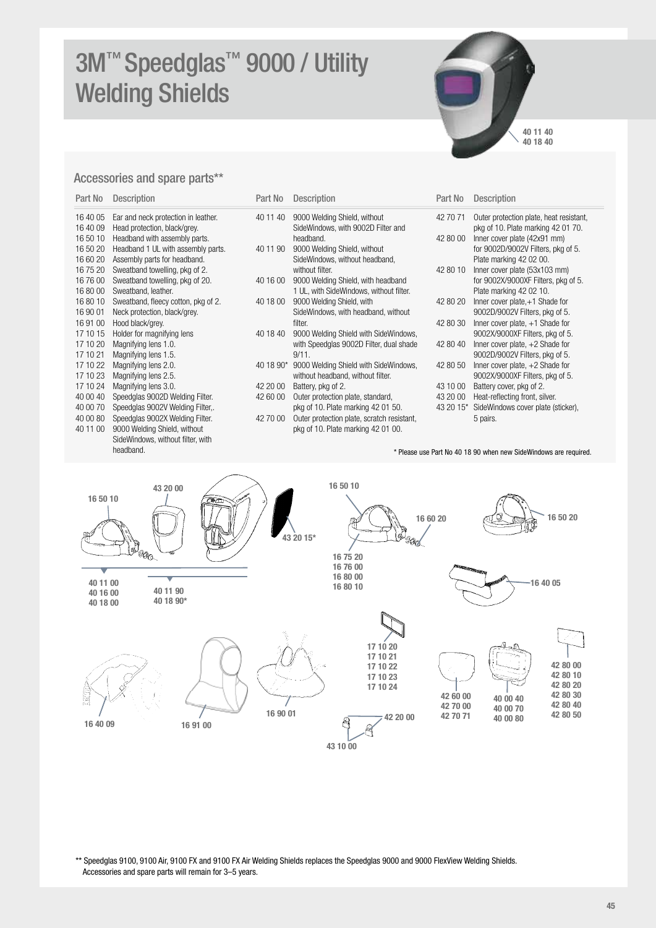# 3M™ Speedglas<sup>™</sup> 9000 / Utility Welding Shields



#### Accessories and spare parts\*\*

| Part No  | <b>Description</b>                  |
|----------|-------------------------------------|
| 16 40 05 | Ear and neck protection in leather. |
| 16 40 09 | Head protection, black/grey.        |
| 16 50 10 | Headband with assembly parts.       |
| 16 50 20 | Headband 1 UL with assembly parts.  |
| 16 60 20 | Assembly parts for headband.        |
| 16 75 20 | Sweatband towelling, pkg of 2.      |
| 16 76 00 | Sweatband towelling, pkg of 20.     |
| 168000   | Sweatband, leather.                 |
| 16 80 10 | Sweatband, fleecy cotton, pkg of 2. |
| 16 90 01 | Neck protection, black/grey.        |
| 16 91 00 | Hood black/grey.                    |
| 17 10 15 | Holder for magnifying lens          |
| 17 10 20 | Magnifying lens 1.0.                |
| 17 10 21 | Magnifying lens 1.5.                |
| 17 10 22 | Magnifying lens 2.0.                |
| 17 10 23 | Magnifying lens 2.5.                |
| 17 10 24 | Magnifying lens 3.0.                |
| 40 00 40 | Speedglas 9002D Welding Filter.     |
| 40 00 70 | Speedglas 9002V Welding Filter,.    |
| 40 00 80 | Speedglas 9002X Welding Filter.     |
| 40 11 00 | 9000 Welding Shield, without        |
|          | SideWindows, without filter, with   |
|          | headband.                           |

| Part No              | <b>Description</b>                                                  | Part No   | <b>Description</b>                                                 | Part No   | <b>Description</b>                                                            |
|----------------------|---------------------------------------------------------------------|-----------|--------------------------------------------------------------------|-----------|-------------------------------------------------------------------------------|
| 16 40 05<br>16 40 09 | Ear and neck protection in leather.<br>Head protection, black/grey. | 40 11 40  | 9000 Welding Shield, without<br>SideWindows, with 9002D Filter and | 42 70 71  | Outer protection plate, heat resistant,<br>pkg of 10. Plate marking 42 01 70. |
| 16 50 10             | Headband with assembly parts.                                       |           | headband.                                                          | 42 80 00  | Inner cover plate (42x91 mm)                                                  |
| 16 50 20             | Headband 1 UL with assembly parts.                                  | 40 11 90  | 9000 Welding Shield, without                                       |           | for 9002D/9002V Filters, pkg of 5.                                            |
| 16 60 20             | Assembly parts for headband.                                        |           | SideWindows, without headband,                                     |           | Plate marking 42 02 00.                                                       |
| 16 75 20             | Sweatband towelling, pkg of 2.                                      |           | without filter.                                                    | 42 80 10  | Inner cover plate (53x103 mm)                                                 |
| 16 76 00             | Sweatband towelling, pkg of 20.                                     | 40 16 00  | 9000 Welding Shield, with headband                                 |           | for 9002X/9000XF Filters, pkg of 5.                                           |
| 16 80 00             | Sweatband, leather.                                                 |           | 1 UL, with SideWindows, without filter.                            |           | Plate marking 42 02 10.                                                       |
| 16 80 10             | Sweatband, fleecy cotton, pkg of 2.                                 | 40 18 00  | 9000 Welding Shield, with                                          | 42 80 20  | Inner cover plate, $+1$ Shade for                                             |
| 16 90 01             | Neck protection, black/grey.                                        |           | SideWindows, with headband, without                                |           | 9002D/9002V Filters, pkg of 5.                                                |
| 16 91 00             | Hood black/grey.                                                    |           | filter.                                                            | 42 80 30  | Inner cover plate, $+1$ Shade for                                             |
| 17 10 15             | Holder for magnifying lens                                          | 40 18 40  | 9000 Welding Shield with SideWindows,                              |           | 9002X/9000XF Filters, pkg of 5.                                               |
| 17 10 20             | Magnifying lens 1.0.                                                |           | with Speedglas 9002D Filter, dual shade                            | 42 80 40  | Inner cover plate, $+2$ Shade for                                             |
| 17 10 21             | Magnifying lens 1.5.                                                |           | 9/11.                                                              |           | 9002D/9002V Filters, pkg of 5.                                                |
| 17 10 22             | Magnifying lens 2.0.                                                | 40 18 90* | 9000 Welding Shield with SideWindows,                              | 42 80 50  | Inner cover plate, $+2$ Shade for                                             |
| 17 10 23             | Magnifying lens 2.5.                                                |           | without headband, without filter.                                  |           | 9002X/9000XF Filters, pkg of 5.                                               |
| 17 10 24             | Magnifying lens 3.0.                                                | 42 20 00  | Battery, pkg of 2.                                                 | 43 10 00  | Battery cover, pkg of 2.                                                      |
| 40 00 40             | Speedglas 9002D Welding Filter.                                     | 42 60 00  | Outer protection plate, standard,                                  | 43 20 00  | Heat-reflecting front, silver.                                                |
| 40 00 70             | Speedglas 9002V Welding Filter,.                                    |           | pkg of 10. Plate marking 42 01 50.                                 | 43 20 15* | SideWindows cover plate (sticker),                                            |
| 40 00 80             | Speedglas 9002X Welding Filter.                                     | 42 70 00  | Outer protection plate, scratch resistant,                         |           | 5 pairs.                                                                      |
| 40 11 00             | 9000 Welding Shield, without                                        |           | pkg of 10. Plate marking 42 01 00.                                 |           |                                                                               |
|                      |                                                                     |           |                                                                    |           |                                                                               |

\* Please use Part No 40 18 90 when new SideWindows are required.



\*\* Speedglas 9100, 9100 Air, 9100 FX and 9100 FX Air Welding Shields replaces the Speedglas 9000 and 9000 FlexView Welding Shields. Accessories and spare parts will remain for 3–5 years.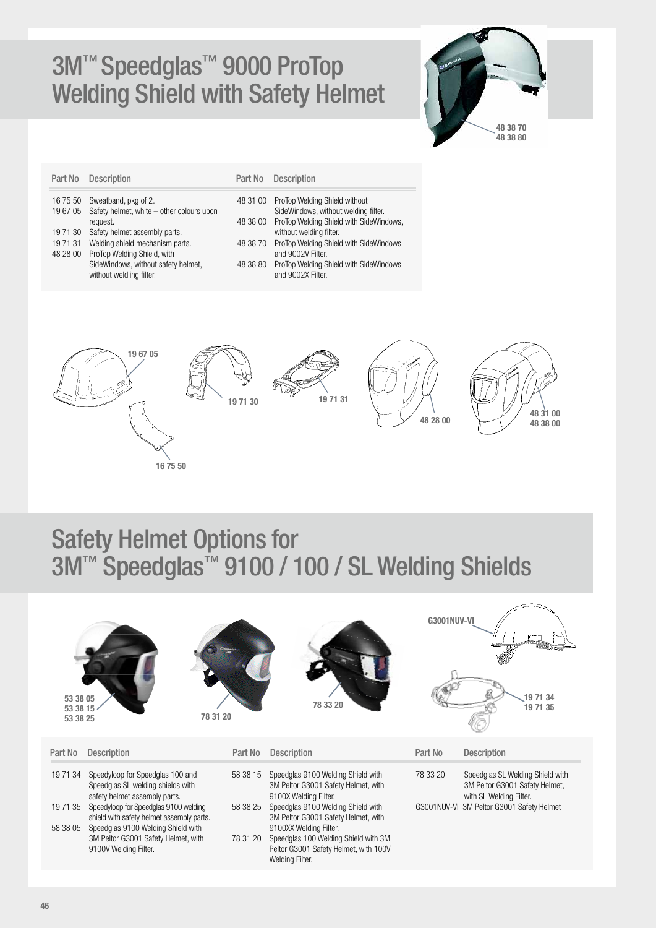## 3M™ Speedglas™ 9000 ProTop Welding Shield with Safety Helmet



| Part No            | <b>Description</b>                                                | Part No  | <b>Description</b>                                                    |
|--------------------|-------------------------------------------------------------------|----------|-----------------------------------------------------------------------|
| 16 75 50<br>196705 | Sweatband, pkg of 2.<br>Safety helmet, white - other colours upon | 48 31 00 | ProTop Welding Shield without<br>SideWindows, without welding filter. |
| 19 71 30           | request.<br>Safety helmet assembly parts.                         | 48 38 00 | ProTop Welding Shield with SideWindows,<br>without welding filter.    |
| 197131<br>48 28 00 | Welding shield mechanism parts.<br>ProTop Welding Shield, with    | 48 38 70 | ProTop Welding Shield with SideWindows<br>and 9002V Filter.           |
|                    | SideWindows, without safety helmet,<br>without weldiing filter.   | 48 38 80 | ProTop Welding Shield with SideWindows<br>and 9002X Filter.           |



### Safety Helmet Options for 3M™ Speedglas<sup>™</sup> 9100 / 100 / SL Welding Shields

| 53 38 05<br>53 38 15<br>53 38 25 | 78 31 20                                                                                               |          | 78 33 20                                                                                                                   | <b>G3001NUV-VI</b> | 19 71 34<br>19 71 35                                                                          |
|----------------------------------|--------------------------------------------------------------------------------------------------------|----------|----------------------------------------------------------------------------------------------------------------------------|--------------------|-----------------------------------------------------------------------------------------------|
| Part No                          | <b>Description</b>                                                                                     | Part No  | <b>Description</b>                                                                                                         | Part No            | <b>Description</b>                                                                            |
| 19 71 34                         | Speedyloop for Speedglas 100 and<br>Speedglas SL welding shields with<br>safety helmet assembly parts. | 58 38 15 | Speedglas 9100 Welding Shield with<br>3M Peltor G3001 Safety Helmet, with<br>9100X Welding Filter.                         | 78 33 20           | Speedglas SL Welding Shield with<br>3M Peltor G3001 Safety Helmet,<br>with SL Welding Filter. |
| 19 71 35                         | Speedyloop for Speedglas 9100 welding<br>shield with safety helmet assembly parts.                     | 58 38 25 | Speedglas 9100 Welding Shield with<br>3M Peltor G3001 Safety Helmet, with                                                  |                    | G3001NUV-VI 3M Peltor G3001 Safety Helmet                                                     |
| 58 38 05                         | Speedglas 9100 Welding Shield with<br>3M Peltor G3001 Safety Helmet, with<br>9100V Welding Filter.     | 78 31 20 | 9100XX Welding Filter.<br>Speedglas 100 Welding Shield with 3M<br>Peltor G3001 Safety Helmet, with 100V<br>Welding Filter. |                    |                                                                                               |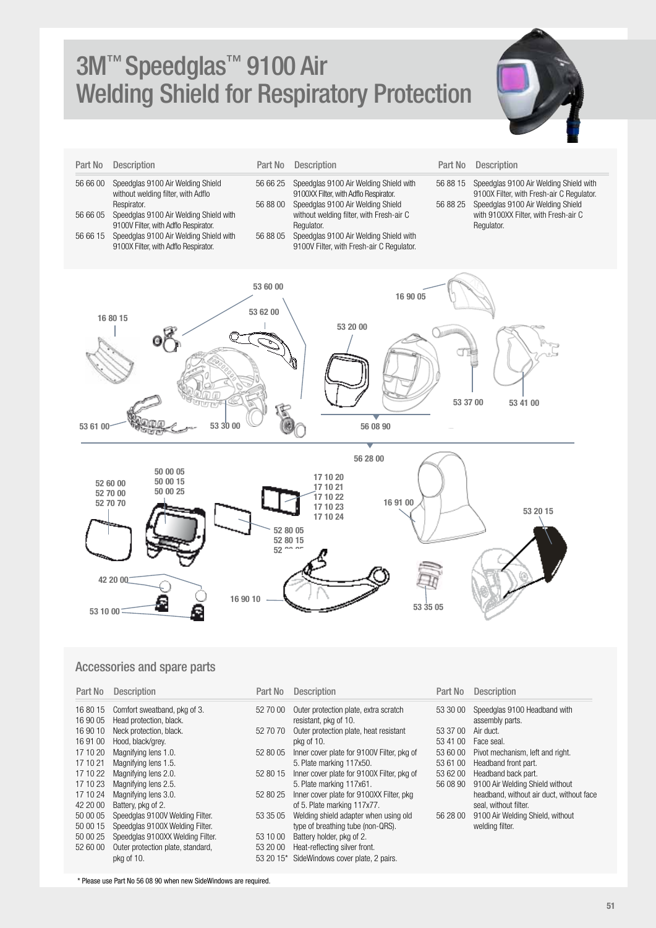## 3M™ Speedglas™ 9100 Air Welding Shield for Respiratory Protection



| Part No  | <b>Description</b>                                                                                                     | Part No              | <b>Description</b>                                                                                                   | Part No              | <b>Description</b>                                                                                                       |
|----------|------------------------------------------------------------------------------------------------------------------------|----------------------|----------------------------------------------------------------------------------------------------------------------|----------------------|--------------------------------------------------------------------------------------------------------------------------|
| 56 66 00 | Speedglas 9100 Air Welding Shield<br>without welding filter, with Adflo<br>Respirator.                                 | 56 66 25<br>56 88 00 | Speedglas 9100 Air Welding Shield with<br>9100XX Filter, with Adflo Respirator.<br>Speedglas 9100 Air Welding Shield | 56 88 15<br>56 88 25 | Speedglas 9100 Air Welding Shield with<br>9100X Filter, with Fresh-air C Regulator.<br>Speedglas 9100 Air Welding Shield |
| 56 66 05 | Speedglas 9100 Air Welding Shield with                                                                                 |                      | without welding filter, with Fresh-air C                                                                             |                      | with 9100XX Filter, with Fresh-air C                                                                                     |
| 56 66 15 | 9100V Filter, with Adflo Respirator.<br>Speedglas 9100 Air Welding Shield with<br>9100X Filter, with Adflo Respirator. | 56 88 05             | Regulator.<br>Speedglas 9100 Air Welding Shield with<br>9100V Filter, with Fresh-air C Regulator.                    |                      | Regulator.                                                                                                               |
|          |                                                                                                                        | 53 60 00<br>53 62 00 | 16 90 05                                                                                                             |                      |                                                                                                                          |
|          | 16 80 15                                                                                                               |                      | 53 20 00                                                                                                             |                      |                                                                                                                          |







#### Accessories and spare parts

53 61 00

| Part No  | <b>Description</b>                | Part No   | <b>Description</b>                         | Part No  | <b>Description</b>                       |
|----------|-----------------------------------|-----------|--------------------------------------------|----------|------------------------------------------|
| 16 80 15 | Comfort sweatband, pkg of 3.      | 52 70 00  | Outer protection plate, extra scratch      | 53 30 00 | Speedglas 9100 Headband with             |
| 16 90 05 | Head protection, black.           |           | resistant, pkg of 10.                      |          | assembly parts.                          |
| 16 90 10 | Neck protection, black.           | 52 70 70  | Outer protection plate, heat resistant     | 53 37 00 | Air duct.                                |
| 16 91 00 | Hood, black/grey.                 |           | pka of 10.                                 | 53 41 00 | Face seal.                               |
| 17 10 20 | Magnifying lens 1.0.              | 52 80 05  | Inner cover plate for 9100V Filter, pkg of | 53 60 00 | Pivot mechanism, left and right.         |
| 17 10 21 | Magnifying lens 1.5.              |           | 5. Plate marking 117x50.                   | 53 61 00 | Headband front part.                     |
| 17 10 22 | Magnifying lens 2.0.              | 52 80 15  | Inner cover plate for 9100X Filter, pkg of | 53 62 00 | Headband back part.                      |
| 17 10 23 | Magnifying lens 2.5.              |           | 5. Plate marking 117x61.                   | 56 08 90 | 9100 Air Welding Shield without          |
| 17 10 24 | Magnifying lens 3.0.              | 52 80 25  | Inner cover plate for 9100XX Filter, pkg   |          | headband, without air duct, without face |
| 42 20 00 | Battery, pkg of 2.                |           | of 5. Plate marking 117x77.                |          | seal, without filter.                    |
| 50 00 05 | Speedglas 9100V Welding Filter.   | 53 35 05  | Welding shield adapter when using old      | 56 28 00 | 9100 Air Welding Shield, without         |
| 50 00 15 | Speedglas 9100X Welding Filter.   |           | type of breathing tube (non-QRS).          |          | welding filter.                          |
| 50 00 25 | Speedglas 9100XX Welding Filter.  | 53 10 00  | Battery holder, pkg of 2.                  |          |                                          |
| 52 60 00 | Outer protection plate, standard, | 53 20 00  | Heat-reflecting silver front.              |          |                                          |
|          | pkg of 10.                        | 53 20 15* | SideWindows cover plate, 2 pairs.          |          |                                          |

\* Please use Part No 56 08 90 when new SideWindows are required.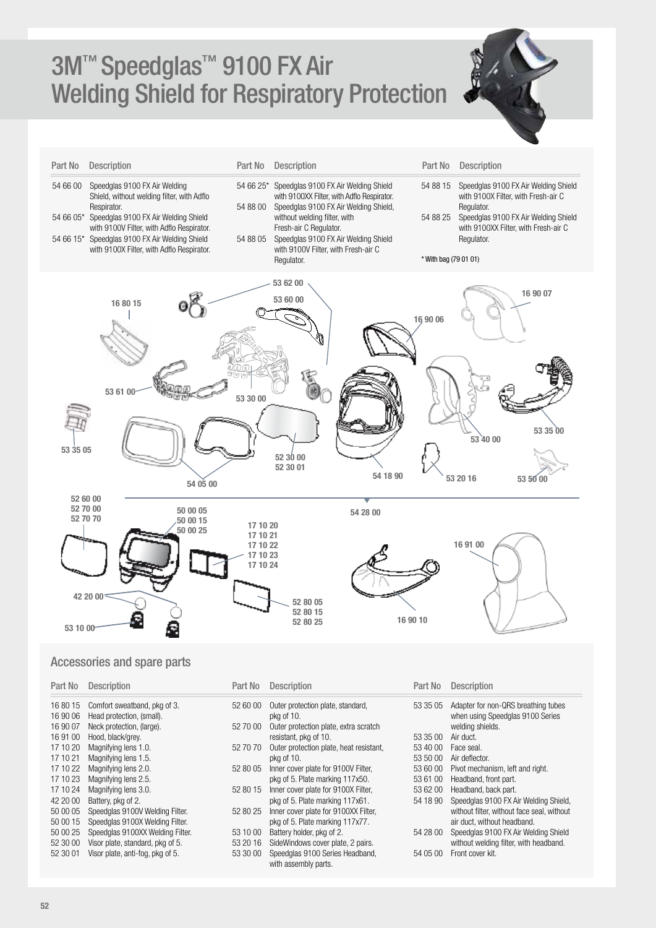## 3M™ Speedglas™ 9100 FX Air Welding Shield for Respiratory Protection



| Part No  | Description                                                                                                                                                                                                                                                                              | Part No                                                  | Description                                                                                                                                                                                                                                                                        | Part No                                       | Description                                                                                                                                                                             |
|----------|------------------------------------------------------------------------------------------------------------------------------------------------------------------------------------------------------------------------------------------------------------------------------------------|----------------------------------------------------------|------------------------------------------------------------------------------------------------------------------------------------------------------------------------------------------------------------------------------------------------------------------------------------|-----------------------------------------------|-----------------------------------------------------------------------------------------------------------------------------------------------------------------------------------------|
| 54 66 00 | Speedglas 9100 FX Air Welding<br>Shield, without welding filter, with Adflo<br>Respirator.<br>54 66 05* Speedglas 9100 FX Air Welding Shield<br>with 9100V Filter, with Adflo Respirator.<br>54 66 15* Speedglas 9100 FX Air Welding Shield<br>with 9100X Filter, with Adflo Respirator. | 54 66 25*<br>54 88 00<br>54 88 05                        | Speedglas 9100 FX Air Welding Shield<br>with 9100XX Filter, with Adflo Respirator.<br>Speedglas 9100 FX Air Welding Shield,<br>without welding filter, with<br>Fresh-air C Regulator.<br>Speedglas 9100 FX Air Welding Shield<br>with 9100V Filter, with Fresh-air C<br>Regulator. | 54 88 15<br>54 88 25<br>* With bag (79 01 01) | Speedglas 9100 FX Air Welding Shield<br>with 9100X Filter, with Fresh-air C<br>Regulator.<br>Speedglas 9100 FX Air Welding Shield<br>with 9100XX Filter, with Fresh-air C<br>Regulator. |
| 53 35 05 | 16 80 15<br>53 61 00<br>54 05 00                                                                                                                                                                                                                                                         | 53 30 00                                                 | 53 62 00<br>53 60 00<br>52 30 00<br>52 30 01<br>54 18 90                                                                                                                                                                                                                           | 16,90 06                                      | 16 90 07<br>53 35 00<br>53 40 00<br>53 20 16<br>53 50 00                                                                                                                                |
| 53 10 00 | 52 60 00<br>52 70 00<br>50 00 05<br>52 70 70<br>50 00 15<br>50 00 25<br>42 20 00<br>Ξ<br>Ş                                                                                                                                                                                               | 17 10 20<br>17 10 21<br>17 10 22<br>17 10 23<br>17 10 24 | 54 28 00<br>52 80 05<br>52 80 15<br>16 90 10<br>52 80 25                                                                                                                                                                                                                           |                                               | 16 91 00                                                                                                                                                                                |

### Accessories and spare parts

| Part No              | <b>Description</b>                                        | Part No  | <b>Description</b>                                      | Part No  | <b>Description</b>                                                      |
|----------------------|-----------------------------------------------------------|----------|---------------------------------------------------------|----------|-------------------------------------------------------------------------|
| 16 80 15<br>16 90 06 | Comfort sweatband, pkg of 3.<br>Head protection, (small). | 52 60 00 | Outer protection plate, standard,<br>pkg of 10.         | 53 35 05 | Adapter for non-QRS breathing tubes<br>when using Speedglas 9100 Series |
| 16 90 07             | Neck protection, (large).                                 | 52 70 00 | Outer protection plate, extra scratch                   |          | welding shields.                                                        |
| 16 91 00             | Hood, black/grey.                                         |          | resistant, pkg of 10.                                   | 53 35 00 | Air duct.                                                               |
| 17 10 20             | Magnifying lens 1.0.                                      | 52 70 70 | Outer protection plate, heat resistant,                 | 53 40 00 | Face seal.                                                              |
| 17 10 21             | Magnifying lens 1.5.                                      |          | pkg of 10.                                              | 53 50 00 | Air deflector.                                                          |
| 17 10 22             | Magnifying lens 2.0.                                      | 52 80 05 | Inner cover plate for 9100V Filter,                     | 53 60 00 | Pivot mechanism, left and right.                                        |
| 17 10 23             | Magnifying lens 2.5.                                      |          | pkg of 5. Plate marking 117x50.                         | 53 61 00 | Headband, front part.                                                   |
| 17 10 24             | Magnifying lens 3.0.                                      | 52 80 15 | Inner cover plate for 9100X Filter,                     | 53 62 00 | Headband, back part.                                                    |
| 42 20 00             | Battery, pkg of 2.                                        |          | pkg of 5. Plate marking 117x61.                         | 54 18 90 | Speedglas 9100 FX Air Welding Shield,                                   |
| 50 00 05             | Speedglas 9100V Welding Filter.                           | 52 80 25 | Inner cover plate for 9100XX Filter,                    |          | without filter, without face seal, without                              |
| 50 00 15             | Speedglas 9100X Welding Filter.                           |          | pkg of 5. Plate marking 117x77.                         |          | air duct, without headband.                                             |
| 50 00 25             | Speedglas 9100XX Welding Filter.                          | 53 10 00 | Battery holder, pkg of 2.                               | 54 28 00 | Speedglas 9100 FX Air Welding Shield                                    |
| 52 30 00             | Visor plate, standard, pkg of 5.                          | 53 20 16 | SideWindows cover plate, 2 pairs.                       |          | without welding filter, with headband.                                  |
| 52 30 01             | Visor plate, anti-fog, pkg of 5.                          | 53 30 00 | Speedglas 9100 Series Headband,<br>with assembly parts. | 54 05 00 | Front cover kit.                                                        |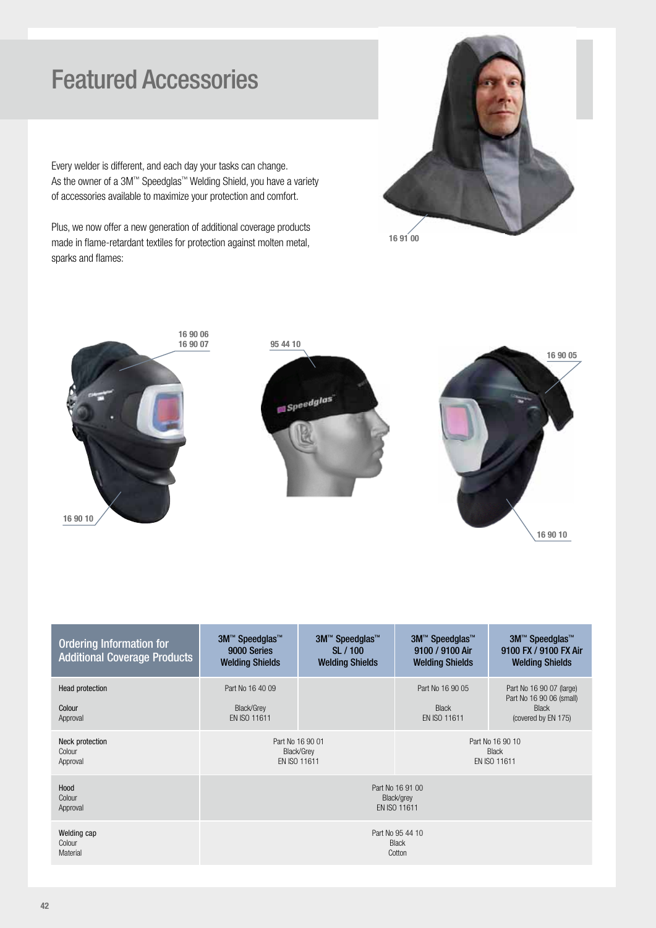### Featured Accessories

Every welder is different, and each day your tasks can change. As the owner of a 3M™ Speedglas™ Welding Shield, you have a variety of accessories available to maximize your protection and comfort.

Plus, we now offer a new generation of additional coverage products made in flame-retardant textiles for protection against molten metal, sparks and flames:







| <b>Ordering Information for</b><br><b>Additional Coverage Products</b> | 3M™ Speedglas™<br>9000 Series<br><b>Welding Shields</b> | 3M <sup>™</sup> Speedglas <sup>™</sup><br>SL / 100<br><b>Welding Shields</b> | 3M <sup>™</sup> Speedglas <sup>™</sup><br>9100 / 9100 Air<br><b>Welding Shields</b> | 3M™ Speedglas™<br>9100 FX / 9100 FX Air<br><b>Welding Shields</b>                           |
|------------------------------------------------------------------------|---------------------------------------------------------|------------------------------------------------------------------------------|-------------------------------------------------------------------------------------|---------------------------------------------------------------------------------------------|
| Head protection<br>Colour<br>Approval                                  | Part No 16 40 09<br>Black/Grey<br>EN ISO 11611          |                                                                              | Part No 16 90 05<br><b>Black</b><br>EN ISO 11611                                    | Part No 16 90 07 (large)<br>Part No 16 90 06 (small)<br><b>Black</b><br>(covered by EN 175) |
| Neck protection<br>Colour<br>Approval                                  | Part No 16 90 01                                        | Black/Grey<br>EN ISO 11611                                                   |                                                                                     | Part No 16 90 10<br><b>Black</b><br>EN ISO 11611                                            |
| Hood<br>Colour<br>Approval                                             |                                                         |                                                                              | Part No 16 91 00<br>Black/grey<br>EN ISO 11611                                      |                                                                                             |
| Welding cap<br>Colour<br>Material                                      |                                                         |                                                                              | Part No 95 44 10<br><b>Black</b><br>Cotton                                          |                                                                                             |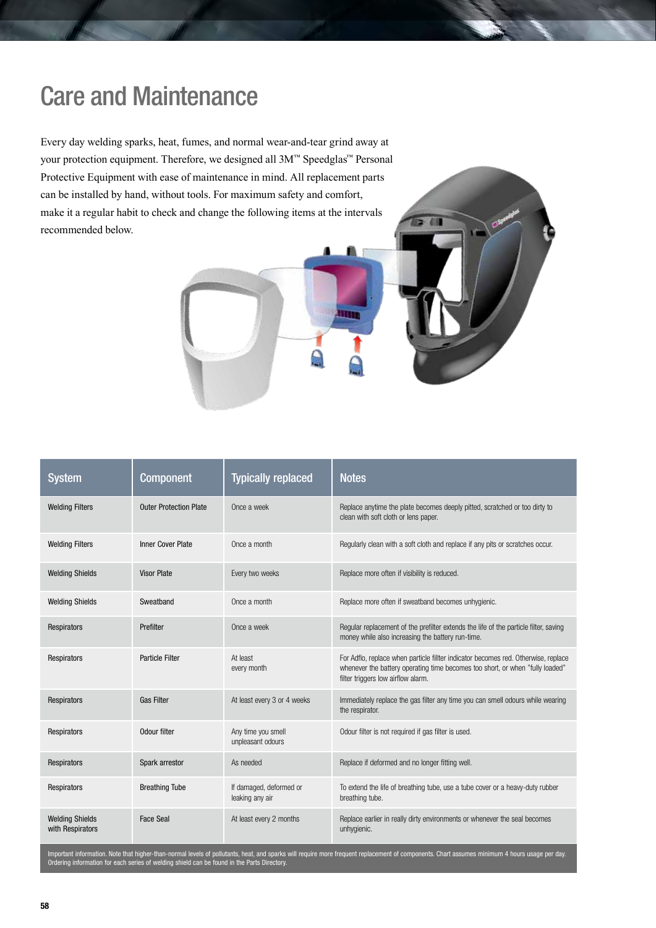### Care and Maintenance

Every day welding sparks, heat, fumes, and normal wear-and-tear grind away at your protection equipment. Therefore, we designed all 3M™ Speedglas™ Personal Protective Equipment with ease of maintenance in mind. All replacement parts can be installed by hand, without tools. For maximum safety and comfort, make it a regular habit to check and change the following items at the intervals recommended below.

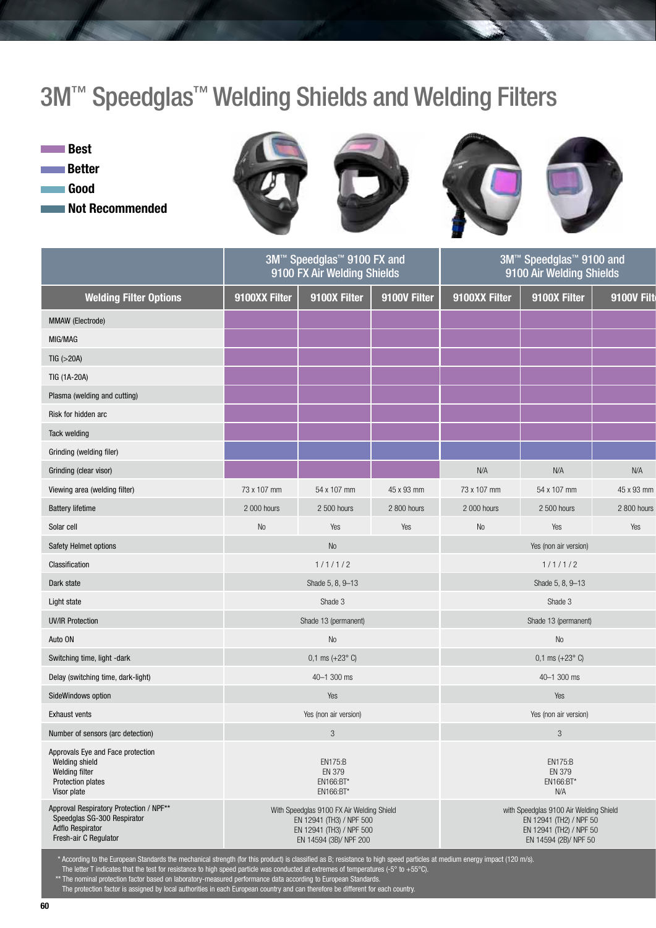## 3M<sup>™</sup> Speedglas<sup>™</sup> Welding Shields and Welding Filters

**Best Better** Good Not Recommended









|                                                                                                                            |               | 3M™ Speedglas™ 9100 FX and<br>9100 FX Air Welding Shields                                                                   |              |               | 3M <sup>™</sup> Speedglas <sup>™</sup> 9100 and<br>9100 Air Welding Shields                                           |             |
|----------------------------------------------------------------------------------------------------------------------------|---------------|-----------------------------------------------------------------------------------------------------------------------------|--------------|---------------|-----------------------------------------------------------------------------------------------------------------------|-------------|
| <b>Welding Filter Options</b>                                                                                              | 9100XX Filter | 9100X Filter                                                                                                                | 9100V Filter | 9100XX Filter | 9100X Filter                                                                                                          | 9100V Filt  |
| MMAW (Electrode)                                                                                                           |               |                                                                                                                             |              |               |                                                                                                                       |             |
| MIG/MAG                                                                                                                    |               |                                                                                                                             |              |               |                                                                                                                       |             |
| TIG (>20A)                                                                                                                 |               |                                                                                                                             |              |               |                                                                                                                       |             |
| TIG (1A-20A)                                                                                                               |               |                                                                                                                             |              |               |                                                                                                                       |             |
| Plasma (welding and cutting)                                                                                               |               |                                                                                                                             |              |               |                                                                                                                       |             |
| Risk for hidden arc                                                                                                        |               |                                                                                                                             |              |               |                                                                                                                       |             |
| <b>Tack welding</b>                                                                                                        |               |                                                                                                                             |              |               |                                                                                                                       |             |
| Grinding (welding filer)                                                                                                   |               |                                                                                                                             |              |               |                                                                                                                       |             |
| Grinding (clear visor)                                                                                                     |               |                                                                                                                             |              | N/A           | N/A                                                                                                                   | N/A         |
| Viewing area (welding filter)                                                                                              | 73 x 107 mm   | 54 x 107 mm                                                                                                                 | 45 x 93 mm   | 73 x 107 mm   | 54 x 107 mm                                                                                                           | 45 x 93 mm  |
| <b>Battery lifetime</b>                                                                                                    | 2 000 hours   | 2 500 hours                                                                                                                 | 2 800 hours  | 2 000 hours   | 2 500 hours                                                                                                           | 2 800 hours |
| Solar cell                                                                                                                 | No            | Yes                                                                                                                         | Yes          | No            | Yes                                                                                                                   | Yes         |
| Safety Helmet options                                                                                                      |               | <b>No</b>                                                                                                                   |              |               | Yes (non air version)                                                                                                 |             |
| Classification                                                                                                             |               | 1/1/1/2                                                                                                                     |              |               | 1/1/1/2                                                                                                               |             |
| Dark state                                                                                                                 |               | Shade 5, 8, 9-13                                                                                                            |              |               | Shade 5, 8, 9-13                                                                                                      |             |
| Light state                                                                                                                |               | Shade 3                                                                                                                     |              |               | Shade 3                                                                                                               |             |
| <b>UV/IR Protection</b>                                                                                                    |               | Shade 13 (permanent)                                                                                                        |              |               | Shade 13 (permanent)                                                                                                  |             |
| Auto ON                                                                                                                    |               | No                                                                                                                          |              |               | No                                                                                                                    |             |
| Switching time, light -dark                                                                                                |               | $0,1$ ms $(+23^{\circ}$ C)                                                                                                  |              |               | $0,1$ ms $(+23^{\circ}$ C)                                                                                            |             |
| Delay (switching time, dark-light)                                                                                         |               | 40-1 300 ms                                                                                                                 |              |               | 40-1 300 ms                                                                                                           |             |
| SideWindows option                                                                                                         |               | Yes                                                                                                                         |              |               | Yes                                                                                                                   |             |
| <b>Exhaust vents</b>                                                                                                       |               | Yes (non air version)                                                                                                       |              |               | Yes (non air version)                                                                                                 |             |
| Number of sensors (arc detection)                                                                                          |               | 3                                                                                                                           |              |               | $\mathbf{3}$                                                                                                          |             |
| Approvals Eye and Face protection<br>Welding shield<br>Welding filter<br><b>Protection plates</b><br>Visor plate           |               | <b>EN175:B</b><br>EN 379<br>EN166:BT*<br>EN166:BT*                                                                          |              |               | <b>EN175:B</b><br>EN 379<br>EN166:BT*<br>N/A                                                                          |             |
| Approval Respiratory Protection / NPF**<br>Speedglas SG-300 Respirator<br><b>Adflo Respirator</b><br>Fresh-air C Regulator |               | With Speedglas 9100 FX Air Welding Shield<br>EN 12941 (TH3) / NPF 500<br>EN 12941 (TH3) / NPF 500<br>EN 14594 (3B)/ NPF 200 |              |               | with Speedglas 9100 Air Welding Shield<br>EN 12941 (TH2) / NPF 50<br>EN 12941 (TH2) / NPF 50<br>EN 14594 (2B)/ NPF 50 |             |

\* According to the European Standards the mechanical strength (for this product) is classified as B; resistance to high speed particles at medium energy impact (120 m/s).

The letter T indicates that the test for resistance to high speed particle was conducted at extremes of temperatures (-5° to +55°C).

\*\* The nominal protection factor based on laboratory-measured performance data according to European Standards.

The protection factor is assigned by local authorities in each European country and can therefore be different for each country.